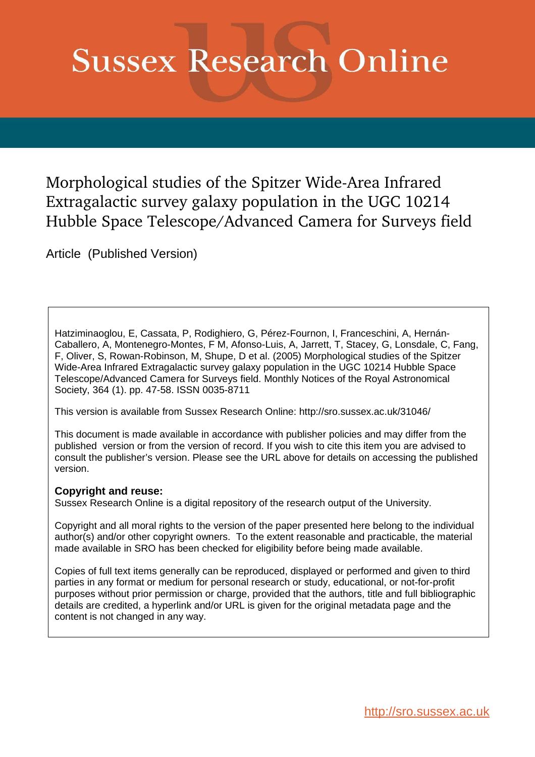# **Sussex Research Online**

Morphological studies of the Spitzer Wide-Area Infrared Extragalactic survey galaxy population in the UGC 10214 Hubble Space Telescope/Advanced Camera for Surveys field

Article (Published Version)

Hatziminaoglou, E, Cassata, P, Rodighiero, G, Pérez-Fournon, I, Franceschini, A, Hernán-Caballero, A, Montenegro-Montes, F M, Afonso-Luis, A, Jarrett, T, Stacey, G, Lonsdale, C, Fang, F, Oliver, S, Rowan-Robinson, M, Shupe, D et al. (2005) Morphological studies of the Spitzer Wide-Area Infrared Extragalactic survey galaxy population in the UGC 10214 Hubble Space Telescope/Advanced Camera for Surveys field. Monthly Notices of the Royal Astronomical Society, 364 (1). pp. 47-58. ISSN 0035-8711

This version is available from Sussex Research Online: http://sro.sussex.ac.uk/31046/

This document is made available in accordance with publisher policies and may differ from the published version or from the version of record. If you wish to cite this item you are advised to consult the publisher's version. Please see the URL above for details on accessing the published version.

## **Copyright and reuse:**

Sussex Research Online is a digital repository of the research output of the University.

Copyright and all moral rights to the version of the paper presented here belong to the individual author(s) and/or other copyright owners. To the extent reasonable and practicable, the material made available in SRO has been checked for eligibility before being made available.

Copies of full text items generally can be reproduced, displayed or performed and given to third parties in any format or medium for personal research or study, educational, or not-for-profit purposes without prior permission or charge, provided that the authors, title and full bibliographic details are credited, a hyperlink and/or URL is given for the original metadata page and the content is not changed in any way.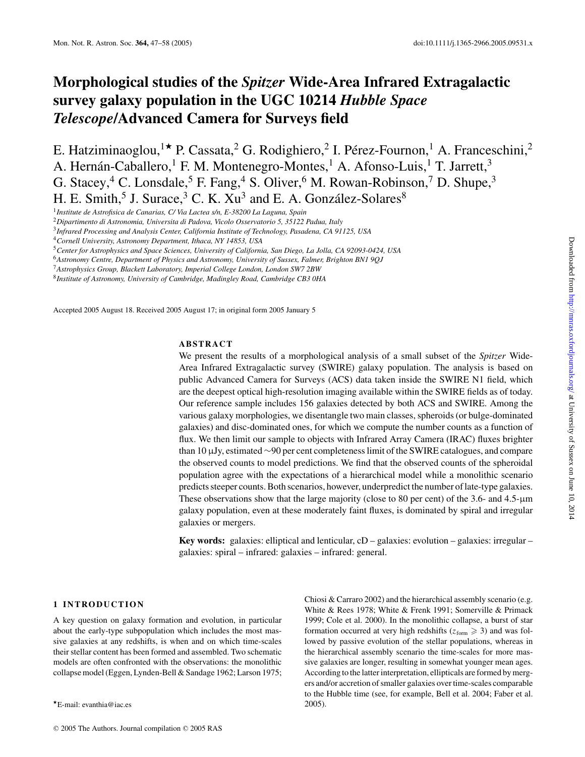## **Morphological studies of the** *Spitzer* **Wide-Area Infrared Extragalactic survey galaxy population in the UGC 10214** *Hubble Space Telescope***/Advanced Camera for Surveys field**

E. Hatziminaoglou,<sup>1</sup><sup>★</sup> P. Cassata,<sup>2</sup> G. Rodighiero,<sup>2</sup> I. Pérez-Fournon,<sup>1</sup> A. Franceschini,<sup>2</sup> A. Hernán-Caballero,<sup>1</sup> F. M. Montenegro-Montes,<sup>1</sup> A. Afonso-Luis,<sup>1</sup> T. Jarrett,<sup>3</sup> G. Stacey,  $4^4$  C. Lonsdale,  $5^5$  F. Fang,  $4^4$  S. Oliver,  $6^6$  M. Rowan-Robinson,  $7^7$  D. Shupe,  $3^3$ H. E. Smith,<sup>5</sup> J. Surace,<sup>3</sup> C. K.  $Xu<sup>3</sup>$  and E. A. González-Solares<sup>8</sup>

1 *Institute de Astrofisica de Canarias, C/ Via Lactea s/n, E-38200 La Laguna, Spain*

<sup>2</sup>*Dipartimento di Astronomia, Universita di Padova, Vicolo Osservatorio 5, 35122 Padua, Italy*

3 *Infrared Processing and Analysis Center, California Institute of Technology, Pasadena, CA 91125, USA*

<sup>4</sup>*Cornell University, Astronomy Department, Ithaca, NY 14853, USA*

<sup>5</sup>*Center for Astrophysics and Space Sciences, University of California, San Diego, La Jolla, CA 92093-0424, USA*

<sup>6</sup>*Astronomy Centre, Department of Physics and Astronomy, University of Sussex, Falmer, Brighton BN1 9QJ*

<sup>7</sup>*Astrophysics Group, Blackett Laboratory, Imperial College London, London SW7 2BW*

8 *Institute of Astronomy, University of Cambridge, Madingley Road, Cambridge CB3 0HA*

Accepted 2005 August 18. Received 2005 August 17; in original form 2005 January 5

## **ABSTRACT**

We present the results of a morphological analysis of a small subset of the *Spitzer* Wide-Area Infrared Extragalactic survey (SWIRE) galaxy population. The analysis is based on public Advanced Camera for Surveys (ACS) data taken inside the SWIRE N1 field, which are the deepest optical high-resolution imaging available within the SWIRE fields as of today. Our reference sample includes 156 galaxies detected by both ACS and SWIRE. Among the various galaxy morphologies, we disentangle two main classes, spheroids (or bulge-dominated galaxies) and disc-dominated ones, for which we compute the number counts as a function of flux. We then limit our sample to objects with Infrared Array Camera (IRAC) fluxes brighter than 10 µJy, estimated ∼90 per cent completeness limit of the SWIRE catalogues, and compare the observed counts to model predictions. We find that the observed counts of the spheroidal population agree with the expectations of a hierarchical model while a monolithic scenario predicts steeper counts. Both scenarios, however, underpredict the number of late-type galaxies. These observations show that the large majority (close to 80 per cent) of the 3.6- and 4.5-µm galaxy population, even at these moderately faint fluxes, is dominated by spiral and irregular galaxies or mergers.

**Key words:** galaxies: elliptical and lenticular, cD – galaxies: evolution – galaxies: irregular – galaxies: spiral – infrared: galaxies – infrared: general.

## **1 INTRODUCTION**

A key question on galaxy formation and evolution, in particular about the early-type subpopulation which includes the most massive galaxies at any redshifts, is when and on which time-scales their stellar content has been formed and assembled. Two schematic models are often confronted with the observations: the monolithic collapse model (Eggen, Lynden-Bell & Sandage 1962; Larson 1975; Chiosi & Carraro 2002) and the hierarchical assembly scenario (e.g. White & Rees 1978; White & Frenk 1991; Somerville & Primack 1999; Cole et al. 2000). In the monolithic collapse, a burst of star formation occurred at very high redshifts ( $z_{form} \ge 3$ ) and was followed by passive evolution of the stellar populations, whereas in the hierarchical assembly scenario the time-scales for more massive galaxies are longer, resulting in somewhat younger mean ages. According to the latter interpretation, ellipticals are formed by mergers and/or accretion of smaller galaxies over time-scales comparable to the Hubble time (see, for example, Bell et al. 2004; Faber et al. 2005).

 $\star$ E-mail: evanthia@iac.es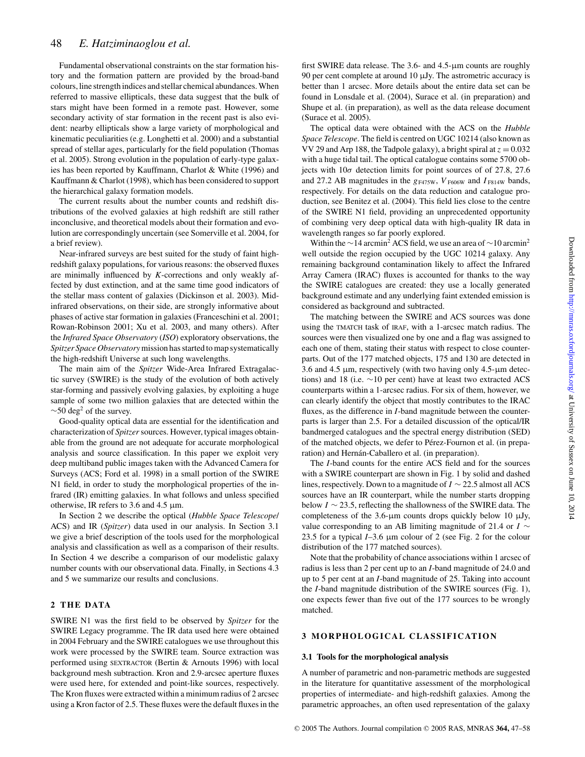Fundamental observational constraints on the star formation history and the formation pattern are provided by the broad-band colours, line strength indices and stellar chemical abundances. When referred to massive ellipticals, these data suggest that the bulk of stars might have been formed in a remote past. However, some secondary activity of star formation in the recent past is also evident: nearby ellipticals show a large variety of morphological and kinematic peculiarities (e.g. Longhetti et al. 2000) and a substantial spread of stellar ages, particularly for the field population (Thomas et al. 2005). Strong evolution in the population of early-type galaxies has been reported by Kauffmann, Charlot & White (1996) and Kauffmann & Charlot (1998), which has been considered to support the hierarchical galaxy formation models.

The current results about the number counts and redshift distributions of the evolved galaxies at high redshift are still rather inconclusive, and theoretical models about their formation and evolution are correspondingly uncertain (see Somerville et al. 2004, for a brief review).

Near-infrared surveys are best suited for the study of faint highredshift galaxy populations, for various reasons: the observed fluxes are minimally influenced by *K*-corrections and only weakly affected by dust extinction, and at the same time good indicators of the stellar mass content of galaxies (Dickinson et al. 2003). Midinfrared observations, on their side, are strongly informative about phases of active star formation in galaxies (Franceschini et al. 2001; Rowan-Robinson 2001; Xu et al. 2003, and many others). After the *Infrared Space Observatory* (*ISO*) exploratory observations, the *Spitzer Space Observatory*mission has started to map systematically the high-redshift Universe at such long wavelengths.

The main aim of the *Spitzer* Wide-Area Infrared Extragalactic survey (SWIRE) is the study of the evolution of both actively star-forming and passively evolving galaxies, by exploiting a huge sample of some two million galaxies that are detected within the  $\sim$ 50 deg<sup>2</sup> of the survey.

Good-quality optical data are essential for the identification and characterization of *Spitzer* sources. However, typical images obtainable from the ground are not adequate for accurate morphological analysis and source classification. In this paper we exploit very deep multiband public images taken with the Advanced Camera for Surveys (ACS; Ford et al. 1998) in a small portion of the SWIRE N1 field, in order to study the morphological properties of the infrared (IR) emitting galaxies. In what follows and unless specified otherwise, IR refers to 3.6 and 4.5  $\mu$ m.

In Section 2 we describe the optical (*Hubble Space Telescope*/ ACS) and IR (*Spitzer*) data used in our analysis. In Section 3.1 we give a brief description of the tools used for the morphological analysis and classification as well as a comparison of their results. In Section 4 we describe a comparison of our modelistic galaxy number counts with our observational data. Finally, in Sections 4.3 and 5 we summarize our results and conclusions.

## **2 THE DATA**

SWIRE N1 was the first field to be observed by *Spitzer* for the SWIRE Legacy programme. The IR data used here were obtained in 2004 February and the SWIRE catalogues we use throughout this work were processed by the SWIRE team. Source extraction was performed using SEXTRACTOR (Bertin & Arnouts 1996) with local background mesh subtraction. Kron and 2.9-arcsec aperture fluxes were used here, for extended and point-like sources, respectively. The Kron fluxes were extracted within a minimum radius of 2 arcsec using a Kron factor of 2.5. These fluxes were the default fluxes in the

first SWIRE data release. The 3.6- and 4.5-µm counts are roughly 90 per cent complete at around 10  $\mu$ Jy. The astrometric accuracy is better than 1 arcsec. More details about the entire data set can be found in Lonsdale et al. (2004), Surace et al. (in preparation) and Shupe et al. (in preparation), as well as the data release document (Surace et al. 2005).

The optical data were obtained with the ACS on the *Hubble Space Telescope*. The field is centred on UGC 10214 (also known as VV 29 and Arp 188, the Tadpole galaxy), a bright spiral at  $z = 0.032$ with a huge tidal tail. The optical catalogue contains some 5700 objects with  $10\sigma$  detection limits for point sources of of 27.8, 27.6 and 27.2 AB magnitudes in the  $g_{F475W}$ ,  $V_{F606W}$  and  $I_{F814W}$  bands, respectively. For details on the data reduction and catalogue production, see Benitez et al. (2004). This field lies close to the centre of the SWIRE N1 field, providing an unprecedented opportunity of combining very deep optical data with high-quality IR data in wavelength ranges so far poorly explored.

Within the ∼14 arcmin<sup>2</sup> ACS field, we use an area of ∼10 arcmin<sup>2</sup> well outside the region occupied by the UGC 10214 galaxy. Any remaining background contamination likely to affect the Infrared Array Camera (IRAC) fluxes is accounted for thanks to the way the SWIRE catalogues are created: they use a locally generated background estimate and any underlying faint extended emission is considered as background and subtracted.

The matching between the SWIRE and ACS sources was done using the TMATCH task of IRAF, with a 1-arcsec match radius. The sources were then visualized one by one and a flag was assigned to each one of them, stating their status with respect to close counterparts. Out of the 177 matched objects, 175 and 130 are detected in 3.6 and 4.5 µm, respectively (with two having only 4.5-µm detections) and 18 (i.e. ∼10 per cent) have at least two extracted ACS counterparts within a 1-arcsec radius. For six of them, however, we can clearly identify the object that mostly contributes to the IRAC fluxes, as the difference in *I*-band magnitude between the counterparts is larger than 2.5. For a detailed discussion of the optical/IR bandmerged catalogues and the spectral energy distribution (SED) of the matched objects, we defer to Pérez-Fournon et al. (in preparation) and Hernán-Caballero et al. (in preparation).

The *I*-band counts for the entire ACS field and for the sources with a SWIRE counterpart are shown in Fig. 1 by solid and dashed lines, respectively. Down to a magnitude of *I* ∼ 22.5 almost all ACS sources have an IR counterpart, while the number starts dropping below *I* ∼ 23.5, reflecting the shallowness of the SWIRE data. The completeness of the  $3.6$ - $\mu$ m counts drops quickly below 10  $\mu$ Jy, value corresponding to an AB limiting magnitude of 21.4 or *I* ∼ 23.5 for a typical  $I-3.6 \mu m$  colour of 2 (see Fig. 2 for the colour distribution of the 177 matched sources).

Note that the probability of chance associations within 1 arcsec of radius is less than 2 per cent up to an *I*-band magnitude of 24.0 and up to 5 per cent at an *I*-band magnitude of 25. Taking into account the *I*-band magnitude distribution of the SWIRE sources (Fig. 1), one expects fewer than five out of the 177 sources to be wrongly matched.

## **3 MORPHOLOGICAL CLASSIFICATION**

#### **3.1 Tools for the morphological analysis**

A number of parametric and non-parametric methods are suggested in the literature for quantitative assessment of the morphological properties of intermediate- and high-redshift galaxies. Among the parametric approaches, an often used representation of the galaxy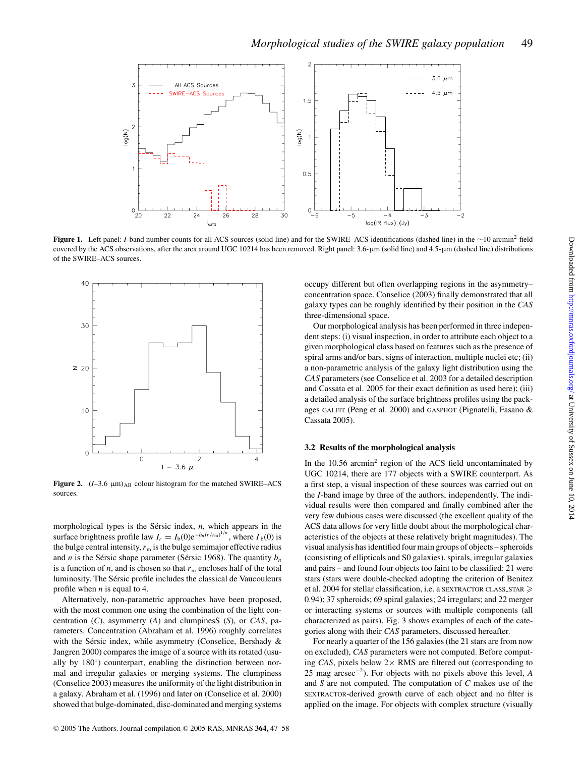

**Figure 1.** Left panel: *I*-band number counts for all ACS sources (solid line) and for the SWIRE–ACS identifications (dashed line) in the ∼10 arcmin<sup>2</sup> field covered by the ACS observations, after the area around UGC 10214 has been removed. Right panel: 3.6-µm (solid line) and 4.5-µm (dashed line) distributions of the SWIRE–ACS sources.



**Figure 2.**  $(I-3.6 \mu m)_{AB}$  colour histogram for the matched SWIRE–ACS sources.

morphological types is the Sérsic index, *n*, which appears in the surface brightness profile law  $I_r = I_b(0)e^{-b_n(r/r_m)^{1/n}}$ , where  $I_b(0)$  is the bulge central intensity,  $r_m$  is the bulge semimajor effective radius and *n* is the Sérsic shape parameter (Sérsic 1968). The quantity  $b_n$ is a function of  $n$ , and is chosen so that  $r<sub>m</sub>$  encloses half of the total luminosity. The Sérsic profile includes the classical de Vaucouleurs profile when *n* is equal to 4.

Alternatively, non-parametric approaches have been proposed, with the most common one using the combination of the light concentration (*C*), asymmetry (*A*) and clumpinesS (*S*), or *CAS*, parameters. Concentration (Abraham et al. 1996) roughly correlates with the Sérsic index, while asymmetry (Conselice, Bershady  $\&$ Jangren 2000) compares the image of a source with its rotated (usually by 180°) counterpart, enabling the distinction between normal and irregular galaxies or merging systems. The clumpiness (Conselice 2003) measures the uniformity of the light distribution in a galaxy. Abraham et al. (1996) and later on (Conselice et al. 2000) showed that bulge-dominated, disc-dominated and merging systems

occupy different but often overlapping regions in the asymmetry– concentration space. Conselice (2003) finally demonstrated that all galaxy types can be roughly identified by their position in the *CAS* three-dimensional space.

Our morphological analysis has been performed in three independent steps: (i) visual inspection, in order to attribute each object to a given morphological class based on features such as the presence of spiral arms and/or bars, signs of interaction, multiple nuclei etc; (ii) a non-parametric analysis of the galaxy light distribution using the *CAS* parameters (see Conselice et al. 2003 for a detailed description and Cassata et al. 2005 for their exact definition as used here); (iii) a detailed analysis of the surface brightness profiles using the packages GALFIT (Peng et al. 2000) and GASPHOT (Pignatelli, Fasano & Cassata 2005).

## **3.2 Results of the morphological analysis**

In the  $10.56$  arcmin<sup>2</sup> region of the ACS field uncontaminated by UGC 10214, there are 177 objects with a SWIRE counterpart. As a first step, a visual inspection of these sources was carried out on the *I*-band image by three of the authors, independently. The individual results were then compared and finally combined after the very few dubious cases were discussed (the excellent quality of the ACS data allows for very little doubt about the morphological characteristics of the objects at these relatively bright magnitudes). The visual analysis has identified four main groups of objects – spheroids (consisting of ellipticals and S0 galaxies), spirals, irregular galaxies and pairs – and found four objects too faint to be classified: 21 were stars (stars were double-checked adopting the criterion of Benitez et al. 2004 for stellar classification, i.e. a SEXTRACTOR CLASS STAR 0.94); 37 spheroids; 69 spiral galaxies; 24 irregulars; and 22 merger or interacting systems or sources with multiple components (all characterized as pairs). Fig. 3 shows examples of each of the categories along with their *CAS* parameters, discussed hereafter.

For nearly a quarter of the 156 galaxies (the 21 stars are from now on excluded), *CAS* parameters were not computed. Before computing *CAS*, pixels below  $2 \times$  RMS are filtered out (corresponding to 25 mag arcsec<sup>−</sup><sup>2</sup> ). For objects with no pixels above this level, *A* and *S* are not computed. The computation of *C* makes use of the SEXTRACTOR-derived growth curve of each object and no filter is applied on the image. For objects with complex structure (visually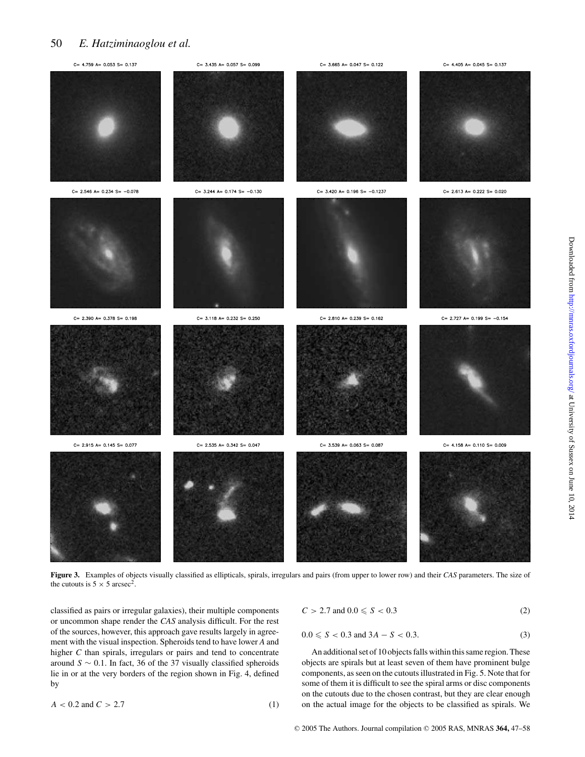## 50 *E. Hatziminaoglou et al.*



**Figure 3.** Examples of objects visually classified as ellipticals, spirals, irregulars and pairs (from upper to lower row) and their *CAS* parameters. The size of the cutouts is  $5 \times 5 \text{ arcsec}^2$ .

classified as pairs or irregular galaxies), their multiple components or uncommon shape render the *CAS* analysis difficult. For the rest of the sources, however, this approach gave results largely in agreement with the visual inspection. Spheroids tend to have lower *A* and higher *C* than spirals, irregulars or pairs and tend to concentrate around *S* ∼ 0.1. In fact, 36 of the 37 visually classified spheroids lie in or at the very borders of the region shown in Fig. 4, defined by

$$
A < 0.2 \text{ and } C > 2.7 \tag{1}
$$

$$
C > 2.7 \text{ and } 0.0 \le S < 0.3 \tag{2}
$$

$$
0.0 \leq S < 0.3 \text{ and } 3A - S < 0.3. \tag{3}
$$

An additional set of 10 objects falls within this same region. These objects are spirals but at least seven of them have prominent bulge components, as seen on the cutouts illustrated in Fig. 5. Note that for some of them it is difficult to see the spiral arms or disc components on the cutouts due to the chosen contrast, but they are clear enough on the actual image for the objects to be classified as spirals. We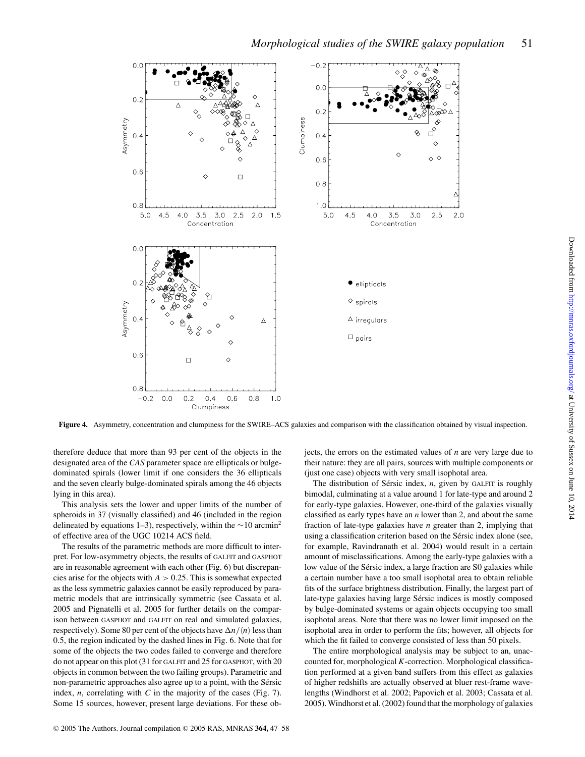

**Figure 4.** Asymmetry, concentration and clumpiness for the SWIRE–ACS galaxies and comparison with the classification obtained by visual inspection.

therefore deduce that more than 93 per cent of the objects in the designated area of the *CAS* parameter space are ellipticals or bulgedominated spirals (lower limit if one considers the 36 ellipticals and the seven clearly bulge-dominated spirals among the 46 objects lying in this area).

This analysis sets the lower and upper limits of the number of spheroids in 37 (visually classified) and 46 (included in the region delineated by equations 1–3), respectively, within the  $\sim$ 10 arcmin<sup>2</sup> of effective area of the UGC 10214 ACS field.

The results of the parametric methods are more difficult to interpret. For low-asymmetry objects, the results of GALFIT and GASPHOT are in reasonable agreement with each other (Fig. 6) but discrepancies arise for the objects with  $A > 0.25$ . This is somewhat expected as the less symmetric galaxies cannot be easily reproduced by parametric models that are intrinsically symmetric (see Cassata et al. 2005 and Pignatelli et al. 2005 for further details on the comparison between GASPHOT and GALFIT on real and simulated galaxies, respectively). Some 80 per cent of the objects have  $\Delta n / \langle n \rangle$  less than 0.5, the region indicated by the dashed lines in Fig. 6. Note that for some of the objects the two codes failed to converge and therefore do not appear on this plot (31 for GALFIT and 25 for GASPHOT, with 20 objects in common between the two failing groups). Parametric and non-parametric approaches also agree up to a point, with the Sérsic index, *n*, correlating with *C* in the majority of the cases (Fig. 7). Some 15 sources, however, present large deviations. For these objects, the errors on the estimated values of *n* are very large due to their nature: they are all pairs, sources with multiple components or (just one case) objects with very small isophotal area.

The distribution of Sérsic index, *n*, given by GALFIT is roughly bimodal, culminating at a value around 1 for late-type and around 2 for early-type galaxies. However, one-third of the galaxies visually classified as early types have an *n* lower than 2, and about the same fraction of late-type galaxies have *n* greater than 2, implying that using a classification criterion based on the Sérsic index alone (see, for example, Ravindranath et al. 2004) would result in a certain amount of misclassifications. Among the early-type galaxies with a low value of the Sérsic index, a large fraction are S0 galaxies while a certain number have a too small isophotal area to obtain reliable fits of the surface brightness distribution. Finally, the largest part of late-type galaxies having large Sérsic indices is mostly composed by bulge-dominated systems or again objects occupying too small isophotal areas. Note that there was no lower limit imposed on the isophotal area in order to perform the fits; however, all objects for which the fit failed to converge consisted of less than 50 pixels.

The entire morphological analysis may be subject to an, unaccounted for, morphological *K*-correction. Morphological classification performed at a given band suffers from this effect as galaxies of higher redshifts are actually observed at bluer rest-frame wavelengths (Windhorst et al. 2002; Papovich et al. 2003; Cassata et al. 2005). Windhorst et al. (2002) found that the morphology of galaxies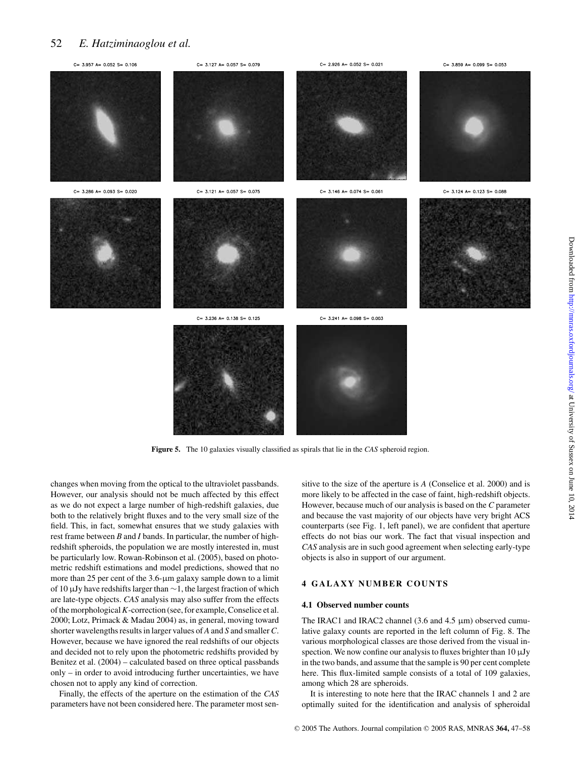## 52 *E. Hatziminaoglou et al.*



**Figure 5.** The 10 galaxies visually classified as spirals that lie in the *CAS* spheroid region.

changes when moving from the optical to the ultraviolet passbands. However, our analysis should not be much affected by this effect as we do not expect a large number of high-redshift galaxies, due both to the relatively bright fluxes and to the very small size of the field. This, in fact, somewhat ensures that we study galaxies with rest frame between *B* and *I* bands. In particular, the number of highredshift spheroids, the population we are mostly interested in, must be particularly low. Rowan-Robinson et al. (2005), based on photometric redshift estimations and model predictions, showed that no more than 25 per cent of the 3.6-µm galaxy sample down to a limit of 10 µJy have redshifts larger than ∼1, the largest fraction of which are late-type objects. *CAS* analysis may also suffer from the effects of the morphological*K*-correction (see, for example, Conselice et al. 2000; Lotz, Primack & Madau 2004) as, in general, moving toward shorter wavelengths results in larger values of *A* and *S* and smaller*C*. However, because we have ignored the real redshifts of our objects and decided not to rely upon the photometric redshifts provided by Benitez et al. (2004) – calculated based on three optical passbands only – in order to avoid introducing further uncertainties, we have chosen not to apply any kind of correction.

Finally, the effects of the aperture on the estimation of the *CAS* parameters have not been considered here. The parameter most sensitive to the size of the aperture is *A* (Conselice et al. 2000) and is more likely to be affected in the case of faint, high-redshift objects. However, because much of our analysis is based on the *C* parameter and because the vast majority of our objects have very bright ACS counterparts (see Fig. 1, left panel), we are confident that aperture effects do not bias our work. The fact that visual inspection and *CAS* analysis are in such good agreement when selecting early-type objects is also in support of our argument.

## **4 GALAXY NUMBER COUNTS**

#### **4.1 Observed number counts**

The IRAC1 and IRAC2 channel  $(3.6 \text{ and } 4.5 \text{ }\mu\text{m})$  observed cumulative galaxy counts are reported in the left column of Fig. 8. The various morphological classes are those derived from the visual inspection. We now confine our analysis to fluxes brighter than 10 µJy in the two bands, and assume that the sample is 90 per cent complete here. This flux-limited sample consists of a total of 109 galaxies, among which 28 are spheroids.

It is interesting to note here that the IRAC channels 1 and 2 are optimally suited for the identification and analysis of spheroidal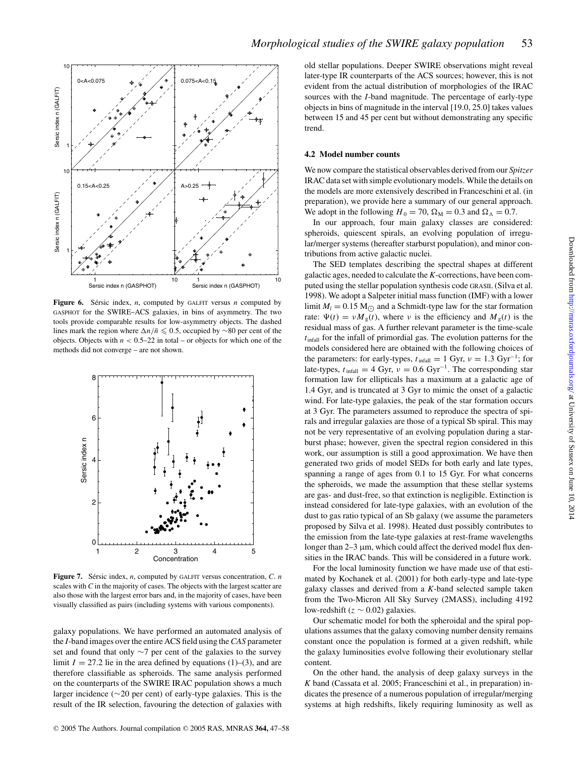

**Figure 6.** Sérsic index,  $n$ , computed by GALFIT versus  $n$  computed by GASPHOT for the SWIRE–ACS galaxies, in bins of asymmetry. The two tools provide comparable results for low-asymmetry objects. The dashed lines mark the region where  $Δn/\bar{n}$  ≤ 0.5, occupied by ∼80 per cent of the objects. Objects with  $n < 0.5-22$  in total – or objects for which one of the methods did not converge – are not shown.



**Figure 7.** Sérsic index, *n*, computed by GALFIT versus concentration, *C. n* scales with *C* in the majority of cases. The objects with the largest scatter are also those with the largest error bars and, in the majority of cases, have been visually classified as pairs (including systems with various components).

galaxy populations. We have performed an automated analysis of the *I*-band images over the entire ACS field using the *CAS* parameter set and found that only ∼7 per cent of the galaxies to the survey limit  $I = 27.2$  lie in the area defined by equations (1)–(3), and are therefore classifiable as spheroids. The same analysis performed on the counterparts of the SWIRE IRAC population shows a much larger incidence (∼20 per cent) of early-type galaxies. This is the result of the IR selection, favouring the detection of galaxies with old stellar populations. Deeper SWIRE observations might reveal later-type IR counterparts of the ACS sources; however, this is not evident from the actual distribution of morphologies of the IRAC sources with the *I*-band magnitude. The percentage of early-type objects in bins of magnitude in the interval [19.0, 25.0] takes values between 15 and 45 per cent but without demonstrating any specific trend.

## **4.2 Model number counts**

We now compare the statistical observables derived from our *Spitzer* IRAC data set with simple evolutionary models. While the details on the models are more extensively described in Franceschini et al. (in preparation), we provide here a summary of our general approach. We adopt in the following  $H_0 = 70$ ,  $\Omega_M = 0.3$  and  $\Omega_{\Lambda} = 0.7$ .

In our approach, four main galaxy classes are considered: spheroids, quiescent spirals, an evolving population of irregular/merger systems (hereafter starburst population), and minor contributions from active galactic nuclei.

The SED templates describing the spectral shapes at different galactic ages, needed to calculate the *K*-corrections, have been computed using the stellar population synthesis code GRASIL (Silva et al. 1998). We adopt a Salpeter initial mass function (IMF) with a lower limit  $M_l = 0.15$  M<sub> $\odot$ </sub> and a Schmidt-type law for the star formation rate:  $\Psi(t) = v M_g(t)$ , where v is the efficiency and  $M_g(t)$  is the residual mass of gas. A further relevant parameter is the time-scale  $t<sub>infall</sub>$  for the infall of primordial gas. The evolution patterns for the models considered here are obtained with the following choices of the parameters: for early-types,  $t_{\text{infall}} = 1 \text{ Gyr}$ ,  $v = 1.3 \text{ Gyr}^{-1}$ ; for late-types,  $t<sub>infall</sub> = 4$  Gyr,  $v = 0.6$  Gyr<sup>-1</sup>. The corresponding star formation law for ellipticals has a maximum at a galactic age of 1.4 Gyr, and is truncated at 3 Gyr to mimic the onset of a galactic wind. For late-type galaxies, the peak of the star formation occurs at 3 Gyr. The parameters assumed to reproduce the spectra of spirals and irregular galaxies are those of a typical Sb spiral. This may not be very representative of an evolving population during a starburst phase; however, given the spectral region considered in this work, our assumption is still a good approximation. We have then generated two grids of model SEDs for both early and late types, spanning a range of ages from 0.1 to 15 Gyr. For what concerns the spheroids, we made the assumption that these stellar systems are gas- and dust-free, so that extinction is negligible. Extinction is instead considered for late-type galaxies, with an evolution of the dust to gas ratio typical of an Sb galaxy (we assume the parameters proposed by Silva et al. 1998). Heated dust possibly contributes to the emission from the late-type galaxies at rest-frame wavelengths longer than  $2-3 \mu m$ , which could affect the derived model flux densities in the IRAC bands. This will be considered in a future work.

For the local luminosity function we have made use of that estimated by Kochanek et al. (2001) for both early-type and late-type galaxy classes and derived from a *K*-band selected sample taken from the Two-Micron All Sky Survey (2MASS), including 4192 low-redshift (*z* ∼ 0.02) galaxies.

Our schematic model for both the spheroidal and the spiral populations assumes that the galaxy comoving number density remains constant once the population is formed at a given redshift, while the galaxy luminosities evolve following their evolutionary stellar content.

On the other hand, the analysis of deep galaxy surveys in the *K* band (Cassata et al. 2005; Franceschini et al., in preparation) indicates the presence of a numerous population of irregular/merging systems at high redshifts, likely requiring luminosity as well as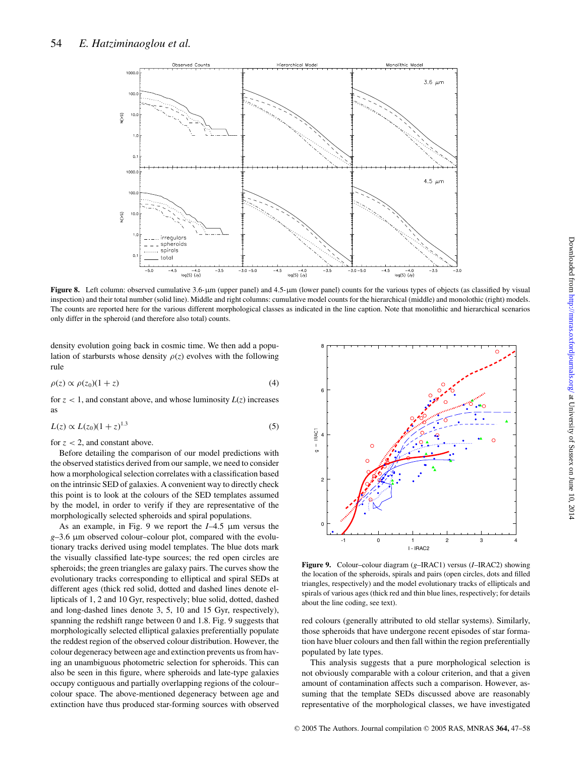

**Figure 8.** Left column: observed cumulative 3.6-µm (upper panel) and 4.5-µm (lower panel) counts for the various types of objects (as classified by visual inspection) and their total number (solid line). Middle and right columns: cumulative model counts for the hierarchical (middle) and monolothic (right) models. The counts are reported here for the various different morphological classes as indicated in the line caption. Note that monolithic and hierarchical scenarios only differ in the spheroid (and therefore also total) counts.

density evolution going back in cosmic time. We then add a population of starbursts whose density  $\rho(z)$  evolves with the following rule

$$
\rho(z) \propto \rho(z_0)(1+z) \tag{4}
$$

for  $z < 1$ , and constant above, and whose luminosity  $L(z)$  increases as

$$
L(z) \propto L(z_0)(1+z)^{1.3}
$$
 (5)

for  $z < 2$ , and constant above.

Before detailing the comparison of our model predictions with the observed statistics derived from our sample, we need to consider how a morphological selection correlates with a classification based on the intrinsic SED of galaxies. A convenient way to directly check this point is to look at the colours of the SED templates assumed by the model, in order to verify if they are representative of the morphologically selected spheroids and spiral populations.

As an example, in Fig. 9 we report the *I*–4.5 µm versus the *g*–3.6 µm observed colour–colour plot, compared with the evolutionary tracks derived using model templates. The blue dots mark the visually classified late-type sources; the red open circles are spheroids; the green triangles are galaxy pairs. The curves show the evolutionary tracks corresponding to elliptical and spiral SEDs at different ages (thick red solid, dotted and dashed lines denote ellipticals of 1, 2 and 10 Gyr, respectively; blue solid, dotted, dashed and long-dashed lines denote 3, 5, 10 and 15 Gyr, respectively), spanning the redshift range between 0 and 1.8. Fig. 9 suggests that morphologically selected elliptical galaxies preferentially populate the reddest region of the observed colour distribution. However, the colour degeneracy between age and extinction prevents us from having an unambiguous photometric selection for spheroids. This can also be seen in this figure, where spheroids and late-type galaxies occupy contiguous and partially overlapping regions of the colour– colour space. The above-mentioned degeneracy between age and extinction have thus produced star-forming sources with observed



**Figure 9.** Colour–colour diagram (*g*–IRAC1) versus (*I*–IRAC2) showing the location of the spheroids, spirals and pairs (open circles, dots and filled triangles, respectively) and the model evolutionary tracks of ellipticals and spirals of various ages (thick red and thin blue lines, respectively; for details about the line coding, see text).

red colours (generally attributed to old stellar systems). Similarly, those spheroids that have undergone recent episodes of star formation have bluer colours and then fall within the region preferentially populated by late types.

This analysis suggests that a pure morphological selection is not obviously comparable with a colour criterion, and that a given amount of contamination affects such a comparison. However, assuming that the template SEDs discussed above are reasonably representative of the morphological classes, we have investigated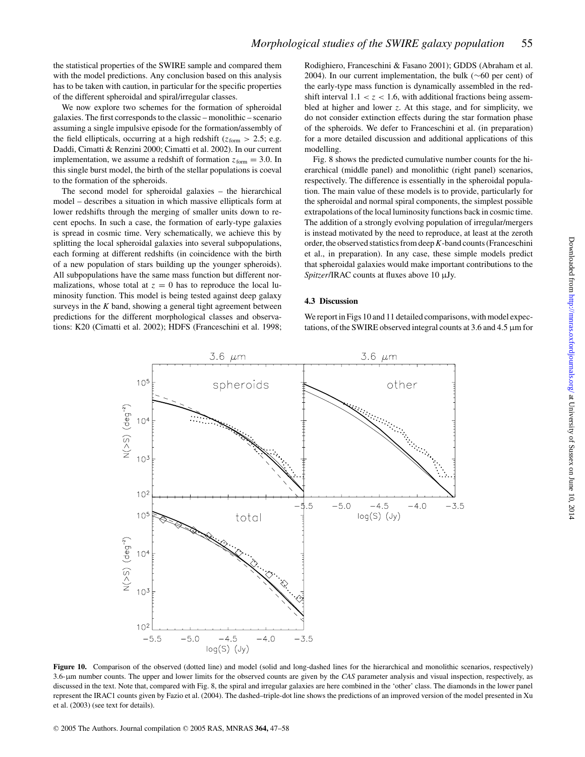the statistical properties of the SWIRE sample and compared them with the model predictions. Any conclusion based on this analysis has to be taken with caution, in particular for the specific properties of the different spheroidal and spiral/irregular classes.

We now explore two schemes for the formation of spheroidal galaxies. The first corresponds to the classic – monolithic – scenario assuming a single impulsive episode for the formation/assembly of the field ellipticals, occurring at a high redshift ( $z_{\text{form}} > 2.5$ ; e.g. Daddi, Cimatti & Renzini 2000; Cimatti et al. 2002). In our current implementation, we assume a redshift of formation  $z_{\text{form}} = 3.0$ . In this single burst model, the birth of the stellar populations is coeval to the formation of the spheroids.

The second model for spheroidal galaxies – the hierarchical model – describes a situation in which massive ellipticals form at lower redshifts through the merging of smaller units down to recent epochs. In such a case, the formation of early-type galaxies is spread in cosmic time. Very schematically, we achieve this by splitting the local spheroidal galaxies into several subpopulations, each forming at different redshifts (in coincidence with the birth of a new population of stars building up the younger spheroids). All subpopulations have the same mass function but different normalizations, whose total at  $z = 0$  has to reproduce the local luminosity function. This model is being tested against deep galaxy surveys in the  $K$  band, showing a general tight agreement between predictions for the different morphological classes and observations: K20 (Cimatti et al. 2002); HDFS (Franceschini et al. 1998; Rodighiero, Franceschini & Fasano 2001); GDDS (Abraham et al. 2004). In our current implementation, the bulk (∼60 per cent) of the early-type mass function is dynamically assembled in the redshift interval  $1.1 < z < 1.6$ , with additional fractions being assembled at higher and lower *z*. At this stage, and for simplicity, we do not consider extinction effects during the star formation phase of the spheroids. We defer to Franceschini et al. (in preparation) for a more detailed discussion and additional applications of this modelling.

Fig. 8 shows the predicted cumulative number counts for the hierarchical (middle panel) and monolithic (right panel) scenarios, respectively. The difference is essentially in the spheroidal population. The main value of these models is to provide, particularly for the spheroidal and normal spiral components, the simplest possible extrapolations of the local luminosity functions back in cosmic time. The addition of a strongly evolving population of irregular/mergers is instead motivated by the need to reproduce, at least at the zeroth order, the observed statistics from deep*K*-band counts (Franceschini et al., in preparation). In any case, these simple models predict that spheroidal galaxies would make important contributions to the *Spitzer*/IRAC counts at fluxes above 10 µJy.

#### **4.3 Discussion**

We report in Figs 10 and 11 detailed comparisons, with model expectations, of the SWIRE observed integral counts at 3.6 and 4.5 µm for



Figure 10. Comparison of the observed (dotted line) and model (solid and long-dashed lines for the hierarchical and monolithic scenarios, respectively) 3.6-µm number counts. The upper and lower limits for the observed counts are given by the *CAS* parameter analysis and visual inspection, respectively, as discussed in the text. Note that, compared with Fig. 8, the spiral and irregular galaxies are here combined in the 'other' class. The diamonds in the lower panel represent the IRAC1 counts given by Fazio et al. (2004). The dashed–triple-dot line shows the predictions of an improved version of the model presented in Xu et al. (2003) (see text for details).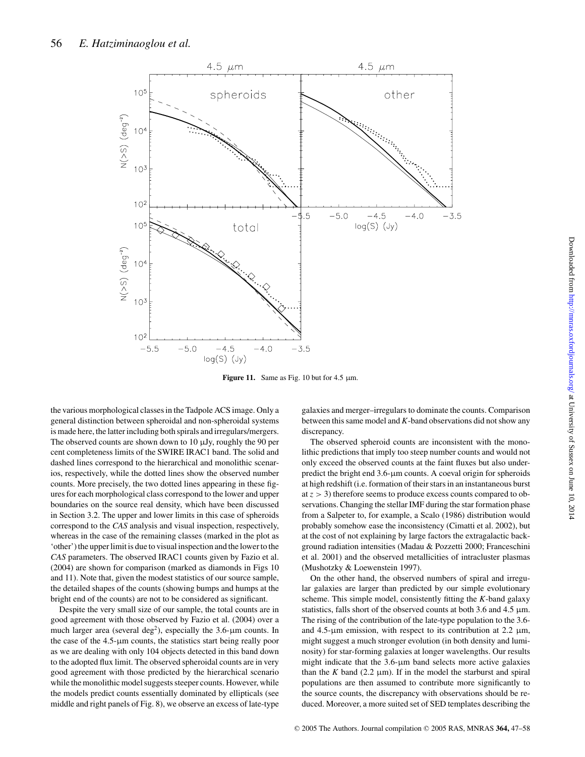

**Figure 11.** Same as Fig. 10 but for 4.5  $\mu$ m.

the various morphological classes in the Tadpole ACS image. Only a general distinction between spheroidal and non-spheroidal systems is made here, the latter including both spirals and irregulars/mergers. The observed counts are shown down to  $10 \mu Jy$ , roughly the 90 per cent completeness limits of the SWIRE IRAC1 band. The solid and dashed lines correspond to the hierarchical and monolithic scenarios, respectively, while the dotted lines show the observed number counts. More precisely, the two dotted lines appearing in these figures for each morphological class correspond to the lower and upper boundaries on the source real density, which have been discussed in Section 3.2. The upper and lower limits in this case of spheroids correspond to the *CAS* analysis and visual inspection, respectively, whereas in the case of the remaining classes (marked in the plot as 'other') the upper limit is due to visual inspection and the lower to the *CAS* parameters. The observed IRAC1 counts given by Fazio et al. (2004) are shown for comparison (marked as diamonds in Figs 10 and 11). Note that, given the modest statistics of our source sample, the detailed shapes of the counts (showing bumps and humps at the bright end of the counts) are not to be considered as significant.

Despite the very small size of our sample, the total counts are in good agreement with those observed by Fazio et al. (2004) over a much larger area (several deg<sup>2</sup>), especially the  $3.6$ - $\mu$ m counts. In the case of the 4.5-µm counts, the statistics start being really poor as we are dealing with only 104 objects detected in this band down to the adopted flux limit. The observed spheroidal counts are in very good agreement with those predicted by the hierarchical scenario while the monolithic model suggests steeper counts. However, while the models predict counts essentially dominated by ellipticals (see middle and right panels of Fig. 8), we observe an excess of late-type

galaxies and merger–irregulars to dominate the counts. Comparison between this same model and *K*-band observations did not show any discrepancy.

The observed spheroid counts are inconsistent with the monolithic predictions that imply too steep number counts and would not only exceed the observed counts at the faint fluxes but also underpredict the bright end 3.6-µm counts. A coeval origin for spheroids at high redshift (i.e. formation of their stars in an instantaneous burst at *z* > 3) therefore seems to produce excess counts compared to observations. Changing the stellar IMF during the star formation phase from a Salpeter to, for example, a Scalo (1986) distribution would probably somehow ease the inconsistency (Cimatti et al. 2002), but at the cost of not explaining by large factors the extragalactic background radiation intensities (Madau & Pozzetti 2000; Franceschini et al. 2001) and the observed metallicities of intracluster plasmas (Mushotzky & Loewenstein 1997).

On the other hand, the observed numbers of spiral and irregular galaxies are larger than predicted by our simple evolutionary scheme. This simple model, consistently fitting the *K*-band galaxy statistics, falls short of the observed counts at both 3.6 and 4.5  $\mu$ m. The rising of the contribution of the late-type population to the 3.6 and  $4.5$ - $\mu$ m emission, with respect to its contribution at 2.2  $\mu$ m, might suggest a much stronger evolution (in both density and luminosity) for star-forming galaxies at longer wavelengths. Our results might indicate that the 3.6-µm band selects more active galaxies than the  $K$  band (2.2  $\mu$ m). If in the model the starburst and spiral populations are then assumed to contribute more significantly to the source counts, the discrepancy with observations should be reduced. Moreover, a more suited set of SED templates describing the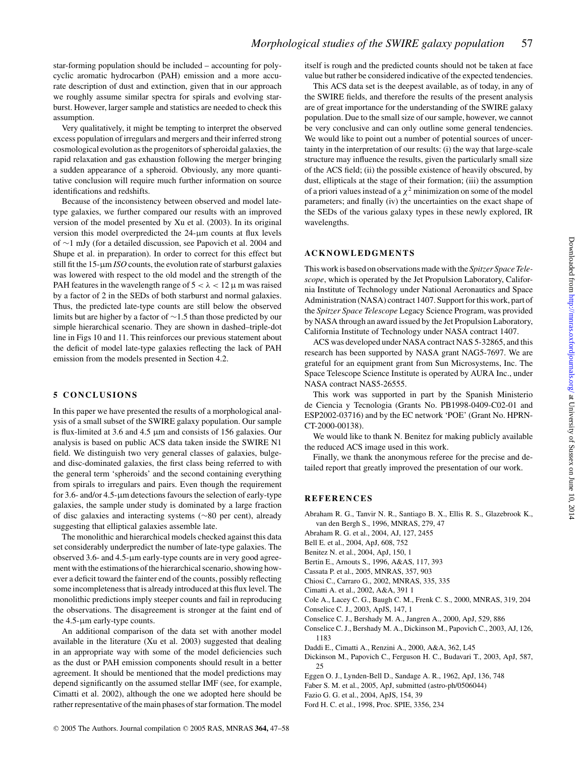star-forming population should be included – accounting for polycyclic aromatic hydrocarbon (PAH) emission and a more accurate description of dust and extinction, given that in our approach we roughly assume similar spectra for spirals and evolving starburst. However, larger sample and statistics are needed to check this assumption.

Very qualitatively, it might be tempting to interpret the observed excess population of irregulars and mergers and their inferred strong cosmological evolution as the progenitors of spheroidal galaxies, the rapid relaxation and gas exhaustion following the merger bringing a sudden appearance of a spheroid. Obviously, any more quantitative conclusion will require much further information on source identifications and redshifts.

Because of the inconsistency between observed and model latetype galaxies, we further compared our results with an improved version of the model presented by Xu et al. (2003). In its original version this model overpredicted the 24-µm counts at flux levels of ∼1 mJy (for a detailed discussion, see Papovich et al. 2004 and Shupe et al. in preparation). In order to correct for this effect but still fit the 15-µm *ISO* counts, the evolution rate of starburst galaxies was lowered with respect to the old model and the strength of the PAH features in the wavelength range of  $5 < \lambda < 12 \,\mu$  m was raised by a factor of 2 in the SEDs of both starburst and normal galaxies. Thus, the predicted late-type counts are still below the observed limits but are higher by a factor of ∼1.5 than those predicted by our simple hierarchical scenario. They are shown in dashed–triple-dot line in Figs 10 and 11. This reinforces our previous statement about the deficit of model late-type galaxies reflecting the lack of PAH emission from the models presented in Section 4.2.

## **5 CONCLUSIONS**

In this paper we have presented the results of a morphological analysis of a small subset of the SWIRE galaxy population. Our sample is flux-limited at 3.6 and 4.5 µm and consists of 156 galaxies. Our analysis is based on public ACS data taken inside the SWIRE N1 field. We distinguish two very general classes of galaxies, bulgeand disc-dominated galaxies, the first class being referred to with the general term 'spheroids' and the second containing everything from spirals to irregulars and pairs. Even though the requirement for 3.6- and/or 4.5-µm detections favours the selection of early-type galaxies, the sample under study is dominated by a large fraction of disc galaxies and interacting systems (∼80 per cent), already suggesting that elliptical galaxies assemble late.

The monolithic and hierarchical models checked against this data set considerably underpredict the number of late-type galaxies. The observed 3.6- and 4.5-µm early-type counts are in very good agreement with the estimations of the hierarchical scenario, showing however a deficit toward the fainter end of the counts, possibly reflecting some incompleteness that is already introduced at this flux level. The monolithic predictions imply steeper counts and fail in reproducing the observations. The disagreement is stronger at the faint end of the 4.5-µm early-type counts.

An additional comparison of the data set with another model available in the literature (Xu et al. 2003) suggested that dealing in an appropriate way with some of the model deficiencies such as the dust or PAH emission components should result in a better agreement. It should be mentioned that the model predictions may depend significantly on the assumed stellar IMF (see, for example, Cimatti et al. 2002), although the one we adopted here should be rather representative of the main phases of star formation. The model

itself is rough and the predicted counts should not be taken at face value but rather be considered indicative of the expected tendencies.

This ACS data set is the deepest available, as of today, in any of the SWIRE fields, and therefore the results of the present analysis are of great importance for the understanding of the SWIRE galaxy population. Due to the small size of our sample, however, we cannot be very conclusive and can only outline some general tendencies. We would like to point out a number of potential sources of uncertainty in the interpretation of our results: (i) the way that large-scale structure may influence the results, given the particularly small size of the ACS field; (ii) the possible existence of heavily obscured, by dust, ellipticals at the stage of their formation; (iii) the assumption of a priori values instead of a  $\chi^2$  minimization on some of the model parameters; and finally (iv) the uncertainties on the exact shape of the SEDs of the various galaxy types in these newly explored, IR wavelengths.

## **ACKNOWLEDGMENTS**

This work is based on observations made with the *Spitzer Space Telescope*, which is operated by the Jet Propulsion Laboratory, California Institute of Technology under National Aeronautics and Space Administration (NASA) contract 1407. Support for this work, part of the *Spitzer Space Telescope* Legacy Science Program, was provided by NASA through an award issued by the Jet Propulsion Laboratory, California Institute of Technology under NASA contract 1407.

ACS was developed under NASA contract NAS 5-32865, and this research has been supported by NASA grant NAG5-7697. We are grateful for an equipment grant from Sun Microsystems, Inc. The Space Telescope Science Institute is operated by AURA Inc., under NASA contract NAS5-26555.

This work was supported in part by the Spanish Ministerio de Ciencia y Tecnologia (Grants No. PB1998-0409-C02-01 and ESP2002-03716) and by the EC network 'POE' (Grant No. HPRN-CT-2000-00138).

We would like to thank N. Benitez for making publicly available the reduced ACS image used in this work.

Finally, we thank the anonymous referee for the precise and detailed report that greatly improved the presentation of our work.

## **REFERENCES**

- Abraham R. G., Tanvir N. R., Santiago B. X., Ellis R. S., Glazebrook K., van den Bergh S., 1996, MNRAS, 279, 47
- Abraham R. G. et al., 2004, AJ, 127, 2455
- Bell E. et al., 2004, ApJ, 608, 752
- Benitez N. et al., 2004, ApJ, 150, 1
- Bertin E., Arnouts S., 1996, A&AS, 117, 393
- Cassata P. et al., 2005, MNRAS, 357, 903
- Chiosi C., Carraro G., 2002, MNRAS, 335, 335
- Cimatti A. et al., 2002, A&A, 391 1
- Cole A., Lacey C. G., Baugh C. M., Frenk C. S., 2000, MNRAS, 319, 204 Conselice C. J., 2003, ApJS, 147, 1
- Conselice C. J., Bershady M. A., Jangren A., 2000, ApJ, 529, 886
- Conselice C. J., Bershady M. A., Dickinson M., Papovich C., 2003, AJ, 126, 1183
- Daddi E., Cimatti A., Renzini A., 2000, A&A, 362, L45
- Dickinson M., Papovich C., Ferguson H. C., Budavari T., 2003, ApJ, 587, 25
- Eggen O. J., Lynden-Bell D., Sandage A. R., 1962, ApJ, 136, 748
- Faber S. M. et al., 2005, ApJ, submitted (astro-ph/0506044)
- Fazio G. G. et al., 2004, ApJS, 154, 39
- Ford H. C. et al., 1998, Proc. SPIE, 3356, 234